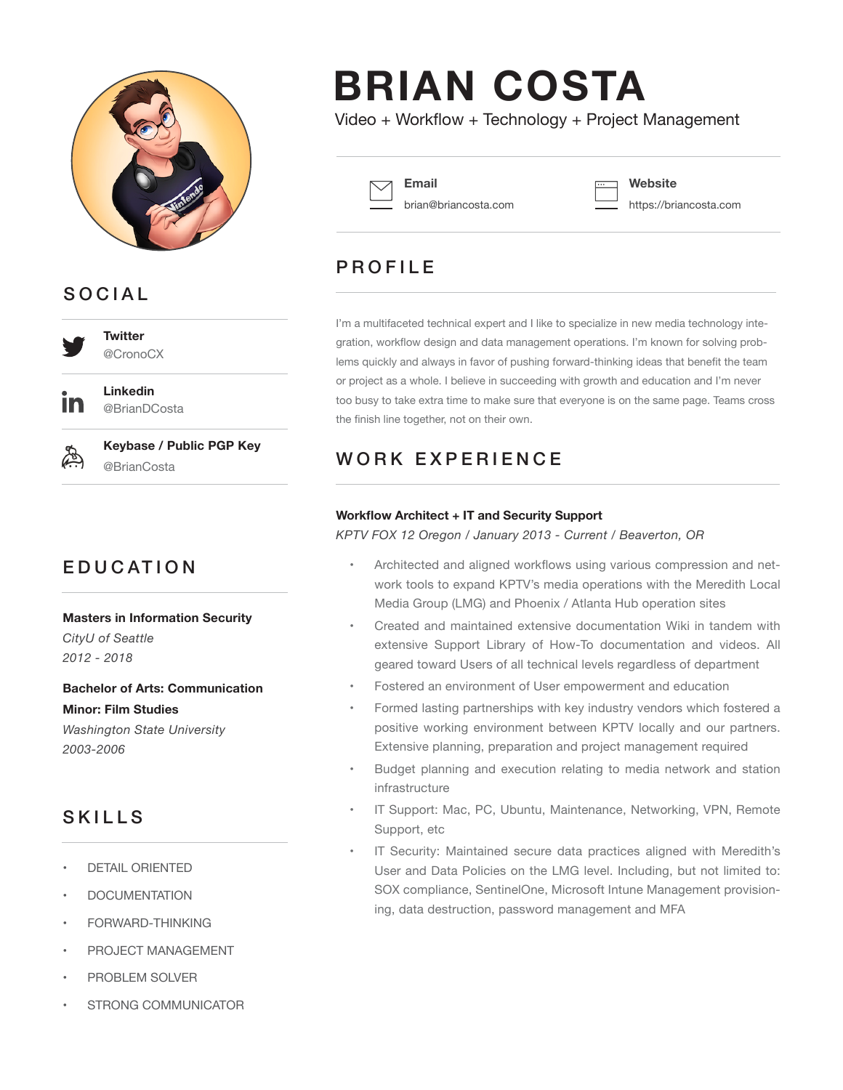

## **SOCIAL**

@CronoCX

**Twitter**

**Linkedin** @BrianDCosta



**Keybase / Public PGP Key** @BrianCosta

# **EDUCATION**

#### **Masters in Information Security**

*CityU of Seattle 2012 - 2018*

## **Bachelor of Arts: Communication Minor: Film Studies**

*Washington State University 2003-2006*

#### **SKILLS**

- DETAIL ORIENTED
- **DOCUMENTATION**
- FORWARD-THINKING
- PROJECT MANAGEMENT
- PROBLEM SOLVER
- STRONG COMMUNICATOR

# **BRIAN COSTA**

Video + Workflow + Technology + Project Management



**Email** brian@briancosta.com **Website**

https://briancosta.com

## **PROFILE**

I'm a multifaceted technical expert and I like to specialize in new media technology integration, workflow design and data management operations. I'm known for solving prob‐ lems quickly and always in favor of pushing forward-thinking ideas that benefit the team or project as a whole. I believe in succeeding with growth and education and I'm never too busy to take extra time to make sure that everyone is on the same page. Teams cross the finish line together, not on their own.

## WORK EXPERIENCE

#### **Workflow Architect + IT and Security Support**

*KPTV FOX 12 Oregon / January 2013 - Current / Beaverton, OR*

- Architected and aligned workflows using various compression and net‐ work tools to expand KPTV's media operations with the Meredith Local Media Group (LMG) and Phoenix / Atlanta Hub operation sites
- Created and maintained extensive documentation Wiki in tandem with extensive Support Library of How-To documentation and videos. All geared toward Users of all technical levels regardless of department
- Fostered an environment of User empowerment and education
- Formed lasting partnerships with key industry vendors which fostered a positive working environment between KPTV locally and our partners. Extensive planning, preparation and project management required
- Budget planning and execution relating to media network and station infrastructure
- IT Support: Mac, PC, Ubuntu, Maintenance, Networking, VPN, Remote Support, etc
- IT Security: Maintained secure data practices aligned with Meredith's User and Data Policies on the LMG level. Including, but not limited to: SOX compliance, SentinelOne, Microsoft Intune Management provision‐ ing, data destruction, password management and MFA